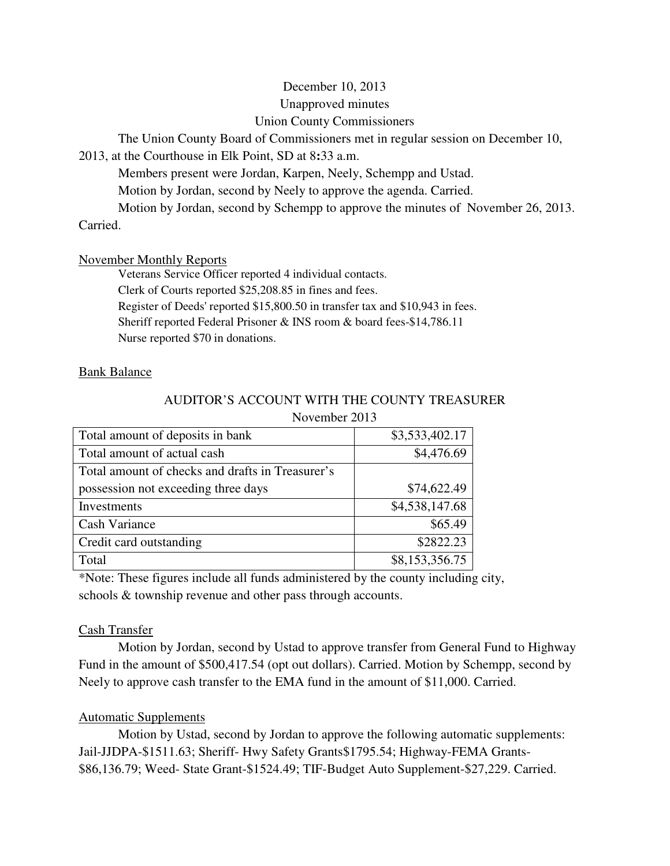# December 10, 2013 Unapproved minutes Union County Commissioners

The Union County Board of Commissioners met in regular session on December 10,

2013, at the Courthouse in Elk Point, SD at 8**:**33 a.m.

Members present were Jordan, Karpen, Neely, Schempp and Ustad.

Motion by Jordan, second by Neely to approve the agenda. Carried.

Motion by Jordan, second by Schempp to approve the minutes of November 26, 2013.

Carried.

# November Monthly Reports

 Veterans Service Officer reported 4 individual contacts. Clerk of Courts reported \$25,208.85 in fines and fees. Register of Deeds' reported \$15,800.50 in transfer tax and \$10,943 in fees. Sheriff reported Federal Prisoner & INS room & board fees-\$14,786.11 Nurse reported \$70 in donations.

# Bank Balance

### AUDITOR'S ACCOUNT WITH THE COUNTY TREASURER November 2013

| Total amount of deposits in bank                 | \$3,533,402.17 |
|--------------------------------------------------|----------------|
| Total amount of actual cash                      | \$4,476.69     |
| Total amount of checks and drafts in Treasurer's |                |
| possession not exceeding three days              | \$74,622.49    |
| Investments                                      | \$4,538,147.68 |
| Cash Variance                                    | \$65.49        |
| Credit card outstanding                          | \$2822.23      |
| Total                                            | \$8,153,356.75 |

\*Note: These figures include all funds administered by the county including city, schools & township revenue and other pass through accounts.

# Cash Transfer

 Motion by Jordan, second by Ustad to approve transfer from General Fund to Highway Fund in the amount of \$500,417.54 (opt out dollars). Carried. Motion by Schempp, second by Neely to approve cash transfer to the EMA fund in the amount of \$11,000. Carried.

# Automatic Supplements

 Motion by Ustad, second by Jordan to approve the following automatic supplements: Jail-JJDPA-\$1511.63; Sheriff- Hwy Safety Grants\$1795.54; Highway-FEMA Grants- \$86,136.79; Weed- State Grant-\$1524.49; TIF-Budget Auto Supplement-\$27,229. Carried.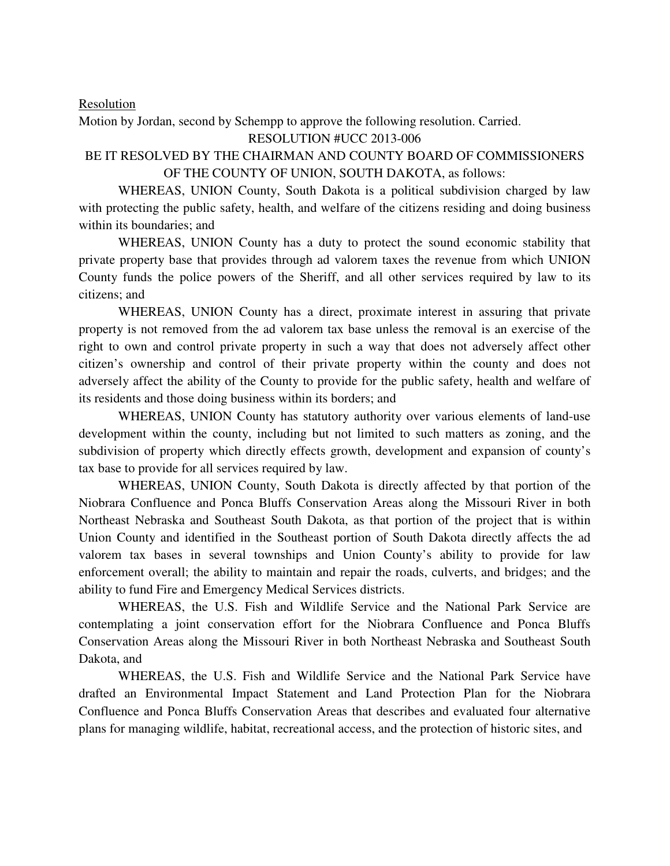#### Resolution

Motion by Jordan, second by Schempp to approve the following resolution. Carried.

# RESOLUTION #UCC 2013-006

# BE IT RESOLVED BY THE CHAIRMAN AND COUNTY BOARD OF COMMISSIONERS OF THE COUNTY OF UNION, SOUTH DAKOTA, as follows:

 WHEREAS, UNION County, South Dakota is a political subdivision charged by law with protecting the public safety, health, and welfare of the citizens residing and doing business within its boundaries; and

 WHEREAS, UNION County has a duty to protect the sound economic stability that private property base that provides through ad valorem taxes the revenue from which UNION County funds the police powers of the Sheriff, and all other services required by law to its citizens; and

 WHEREAS, UNION County has a direct, proximate interest in assuring that private property is not removed from the ad valorem tax base unless the removal is an exercise of the right to own and control private property in such a way that does not adversely affect other citizen's ownership and control of their private property within the county and does not adversely affect the ability of the County to provide for the public safety, health and welfare of its residents and those doing business within its borders; and

 WHEREAS, UNION County has statutory authority over various elements of land-use development within the county, including but not limited to such matters as zoning, and the subdivision of property which directly effects growth, development and expansion of county's tax base to provide for all services required by law.

 WHEREAS, UNION County, South Dakota is directly affected by that portion of the Niobrara Confluence and Ponca Bluffs Conservation Areas along the Missouri River in both Northeast Nebraska and Southeast South Dakota, as that portion of the project that is within Union County and identified in the Southeast portion of South Dakota directly affects the ad valorem tax bases in several townships and Union County's ability to provide for law enforcement overall; the ability to maintain and repair the roads, culverts, and bridges; and the ability to fund Fire and Emergency Medical Services districts.

 WHEREAS, the U.S. Fish and Wildlife Service and the National Park Service are contemplating a joint conservation effort for the Niobrara Confluence and Ponca Bluffs Conservation Areas along the Missouri River in both Northeast Nebraska and Southeast South Dakota, and

 WHEREAS, the U.S. Fish and Wildlife Service and the National Park Service have drafted an Environmental Impact Statement and Land Protection Plan for the Niobrara Confluence and Ponca Bluffs Conservation Areas that describes and evaluated four alternative plans for managing wildlife, habitat, recreational access, and the protection of historic sites, and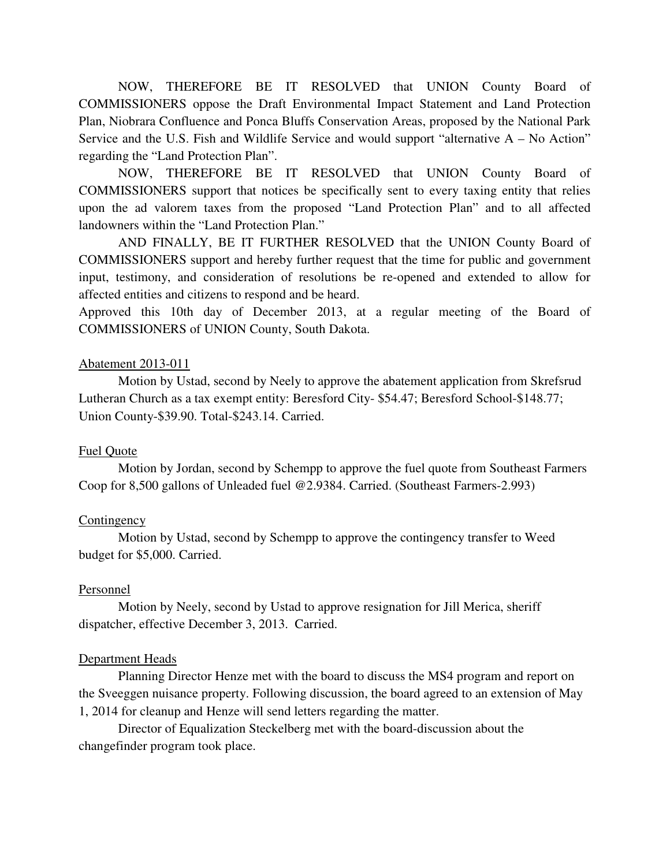NOW, THEREFORE BE IT RESOLVED that UNION County Board of COMMISSIONERS oppose the Draft Environmental Impact Statement and Land Protection Plan, Niobrara Confluence and Ponca Bluffs Conservation Areas, proposed by the National Park Service and the U.S. Fish and Wildlife Service and would support "alternative A – No Action" regarding the "Land Protection Plan".

NOW, THEREFORE BE IT RESOLVED that UNION County Board of COMMISSIONERS support that notices be specifically sent to every taxing entity that relies upon the ad valorem taxes from the proposed "Land Protection Plan" and to all affected landowners within the "Land Protection Plan."

 AND FINALLY, BE IT FURTHER RESOLVED that the UNION County Board of COMMISSIONERS support and hereby further request that the time for public and government input, testimony, and consideration of resolutions be re-opened and extended to allow for affected entities and citizens to respond and be heard.

Approved this 10th day of December 2013, at a regular meeting of the Board of COMMISSIONERS of UNION County, South Dakota.

### Abatement 2013-011

 Motion by Ustad, second by Neely to approve the abatement application from Skrefsrud Lutheran Church as a tax exempt entity: Beresford City- \$54.47; Beresford School-\$148.77; Union County-\$39.90. Total-\$243.14. Carried.

### Fuel Quote

 Motion by Jordan, second by Schempp to approve the fuel quote from Southeast Farmers Coop for 8,500 gallons of Unleaded fuel @2.9384. Carried. (Southeast Farmers-2.993)

#### Contingency

 Motion by Ustad, second by Schempp to approve the contingency transfer to Weed budget for \$5,000. Carried.

#### Personnel

 Motion by Neely, second by Ustad to approve resignation for Jill Merica, sheriff dispatcher, effective December 3, 2013. Carried.

#### Department Heads

 Planning Director Henze met with the board to discuss the MS4 program and report on the Sveeggen nuisance property. Following discussion, the board agreed to an extension of May 1, 2014 for cleanup and Henze will send letters regarding the matter.

 Director of Equalization Steckelberg met with the board-discussion about the changefinder program took place.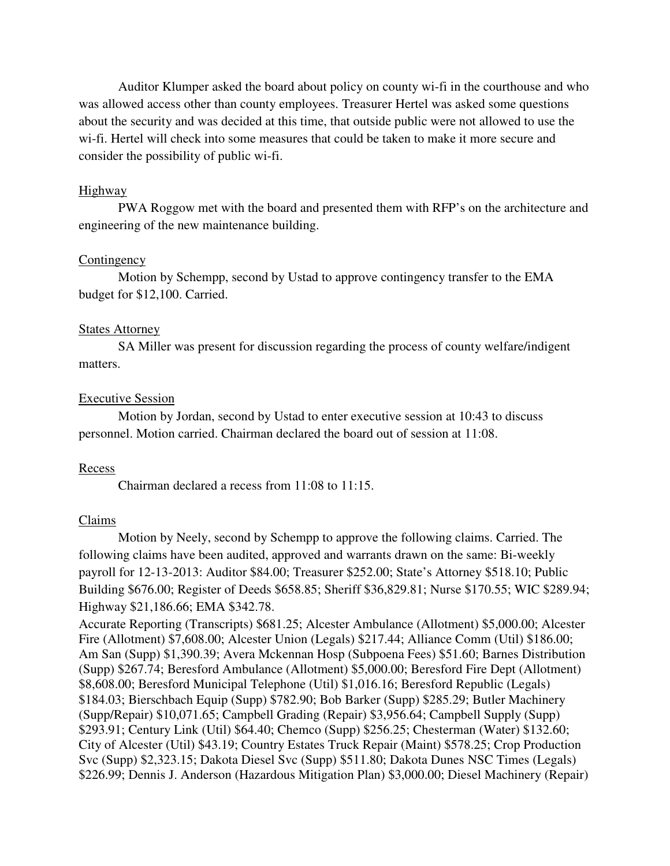Auditor Klumper asked the board about policy on county wi-fi in the courthouse and who was allowed access other than county employees. Treasurer Hertel was asked some questions about the security and was decided at this time, that outside public were not allowed to use the wi-fi. Hertel will check into some measures that could be taken to make it more secure and consider the possibility of public wi-fi.

#### Highway

 PWA Roggow met with the board and presented them with RFP's on the architecture and engineering of the new maintenance building.

#### **Contingency**

 Motion by Schempp, second by Ustad to approve contingency transfer to the EMA budget for \$12,100. Carried.

#### States Attorney

 SA Miller was present for discussion regarding the process of county welfare/indigent matters.

#### Executive Session

 Motion by Jordan, second by Ustad to enter executive session at 10:43 to discuss personnel. Motion carried. Chairman declared the board out of session at 11:08.

### **Recess**

Chairman declared a recess from 11:08 to 11:15.

#### Claims

 Motion by Neely, second by Schempp to approve the following claims. Carried. The following claims have been audited, approved and warrants drawn on the same: Bi-weekly payroll for 12-13-2013: Auditor \$84.00; Treasurer \$252.00; State's Attorney \$518.10; Public Building \$676.00; Register of Deeds \$658.85; Sheriff \$36,829.81; Nurse \$170.55; WIC \$289.94; Highway \$21,186.66; EMA \$342.78.

Accurate Reporting (Transcripts) \$681.25; Alcester Ambulance (Allotment) \$5,000.00; Alcester Fire (Allotment) \$7,608.00; Alcester Union (Legals) \$217.44; Alliance Comm (Util) \$186.00; Am San (Supp) \$1,390.39; Avera Mckennan Hosp (Subpoena Fees) \$51.60; Barnes Distribution (Supp) \$267.74; Beresford Ambulance (Allotment) \$5,000.00; Beresford Fire Dept (Allotment) \$8,608.00; Beresford Municipal Telephone (Util) \$1,016.16; Beresford Republic (Legals) \$184.03; Bierschbach Equip (Supp) \$782.90; Bob Barker (Supp) \$285.29; Butler Machinery (Supp/Repair) \$10,071.65; Campbell Grading (Repair) \$3,956.64; Campbell Supply (Supp) \$293.91; Century Link (Util) \$64.40; Chemco (Supp) \$256.25; Chesterman (Water) \$132.60; City of Alcester (Util) \$43.19; Country Estates Truck Repair (Maint) \$578.25; Crop Production Svc (Supp) \$2,323.15; Dakota Diesel Svc (Supp) \$511.80; Dakota Dunes NSC Times (Legals) \$226.99; Dennis J. Anderson (Hazardous Mitigation Plan) \$3,000.00; Diesel Machinery (Repair)